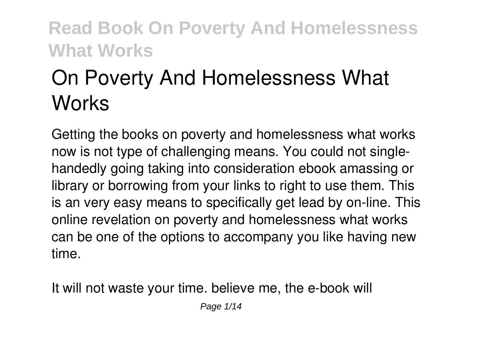# **On Poverty And Homelessness What Works**

Getting the books **on poverty and homelessness what works** now is not type of challenging means. You could not singlehandedly going taking into consideration ebook amassing or library or borrowing from your links to right to use them. This is an very easy means to specifically get lead by on-line. This online revelation on poverty and homelessness what works can be one of the options to accompany you like having new time.

It will not waste your time. believe me, the e-book will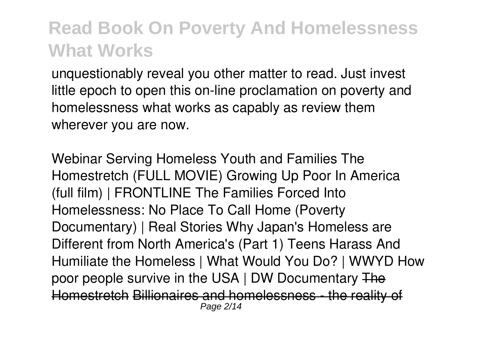unquestionably reveal you other matter to read. Just invest little epoch to open this on-line proclamation **on poverty and homelessness what works** as capably as review them wherever you are now.

Webinar Serving Homeless Youth and Families *The Homestretch (FULL MOVIE) Growing Up Poor In America (full film) | FRONTLINE The Families Forced Into Homelessness: No Place To Call Home (Poverty Documentary) | Real Stories* **Why Japan's Homeless are Different from North America's (Part 1)** Teens Harass And Humiliate the Homeless | What Would You Do? | WWYD *How poor people survive in the USA | DW Documentary* The Homestretch Billionaires and homelessness - the reality of Page 2/14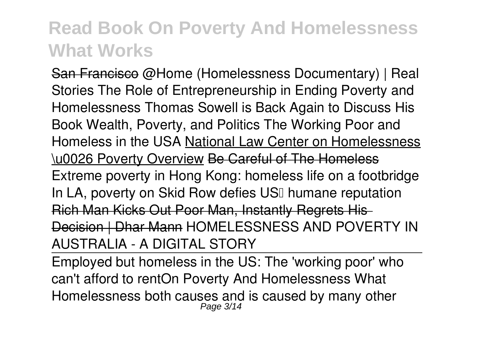San Francisco *@Home (Homelessness Documentary) | Real Stories The Role of Entrepreneurship in Ending Poverty and Homelessness Thomas Sowell is Back Again to Discuss His Book Wealth, Poverty, and Politics The Working Poor and Homeless in the USA* National Law Center on Homelessness \u0026 Poverty Overview Be Careful of The Homeless Extreme poverty in Hong Kong: homeless life on a footbridge In LA, poverty on Skid Row defies USI humane reputation Rich Man Kicks Out Poor Man, Instantly Regrets His Decision | Dhar Mann *HOMELESSNESS AND POVERTY IN AUSTRALIA - A DIGITAL STORY*

Employed but homeless in the US: The 'working poor' who can't afford to rent*On Poverty And Homelessness What* Homelessness both causes and is caused by many other Page 3/14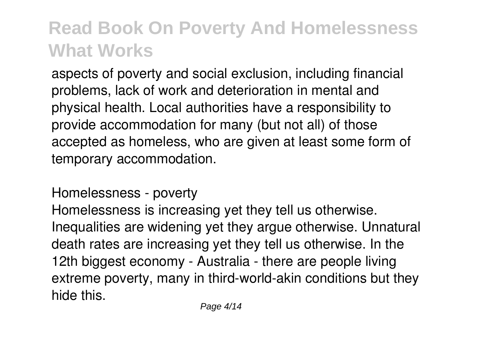aspects of poverty and social exclusion, including financial problems, lack of work and deterioration in mental and physical health. Local authorities have a responsibility to provide accommodation for many (but not all) of those accepted as homeless, who are given at least some form of temporary accommodation.

*Homelessness - poverty*

Homelessness is increasing yet they tell us otherwise. Inequalities are widening yet they argue otherwise. Unnatural death rates are increasing yet they tell us otherwise. In the 12th biggest economy - Australia - there are people living extreme poverty, many in third-world-akin conditions but they hide this.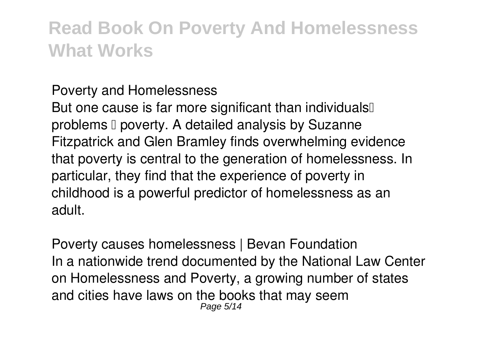#### *Poverty and Homelessness*

But one cause is far more significant than individuals problems  $\Box$  poverty. A detailed analysis by Suzanne Fitzpatrick and Glen Bramley finds overwhelming evidence that poverty is central to the generation of homelessness. In particular, they find that the experience of poverty in childhood is a powerful predictor of homelessness as an adult.

*Poverty causes homelessness | Bevan Foundation* In a nationwide trend documented by the National Law Center on Homelessness and Poverty, a growing number of states and cities have laws on the books that may seem Page 5/14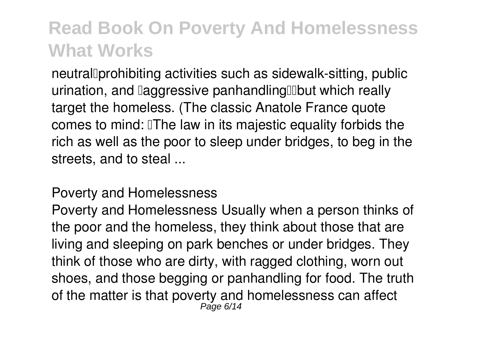neutral Dorohibiting activities such as sidewalk-sitting, public urination, and **laggressive panhandling** up which really target the homeless. (The classic Anatole France quote comes to mind: The law in its majestic equality forbids the rich as well as the poor to sleep under bridges, to beg in the streets, and to steal ...

#### *Poverty and Homelessness*

Poverty and Homelessness Usually when a person thinks of the poor and the homeless, they think about those that are living and sleeping on park benches or under bridges. They think of those who are dirty, with ragged clothing, worn out shoes, and those begging or panhandling for food. The truth of the matter is that poverty and homelessness can affect<br><sup>Page 6/14</sup>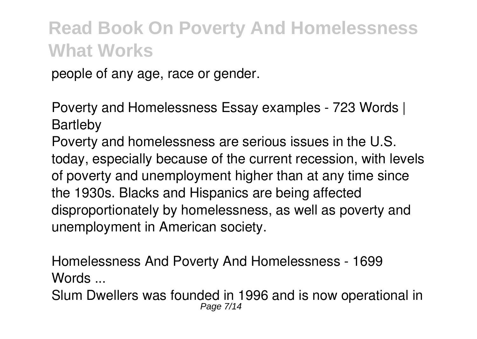people of any age, race or gender.

*Poverty and Homelessness Essay examples - 723 Words | Bartleby*

Poverty and homelessness are serious issues in the U.S. today, especially because of the current recession, with levels of poverty and unemployment higher than at any time since the 1930s. Blacks and Hispanics are being affected disproportionately by homelessness, as well as poverty and unemployment in American society.

*Homelessness And Poverty And Homelessness - 1699 Words ...*

Slum Dwellers was founded in 1996 and is now operational in Page 7/14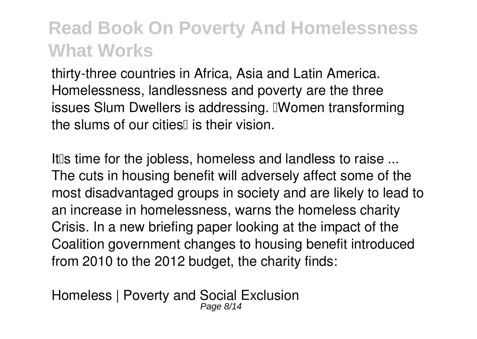thirty-three countries in Africa, Asia and Latin America. Homelessness, landlessness and poverty are the three issues Slum Dwellers is addressing. **IWomen transforming** the slums of our cities is their vision

*It's time for the jobless, homeless and landless to raise ...* The cuts in housing benefit will adversely affect some of the most disadvantaged groups in society and are likely to lead to an increase in homelessness, warns the homeless charity Crisis. In a new briefing paper looking at the impact of the Coalition government changes to housing benefit introduced from 2010 to the 2012 budget, the charity finds:

*Homeless | Poverty and Social Exclusion* Page 8/14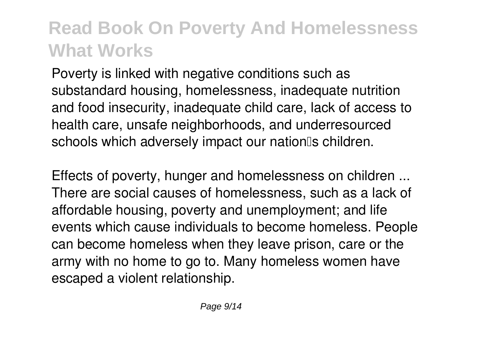Poverty is linked with negative conditions such as substandard housing, homelessness, inadequate nutrition and food insecurity, inadequate child care, lack of access to health care, unsafe neighborhoods, and underresourced schools which adversely impact our nationlls children.

*Effects of poverty, hunger and homelessness on children ...* There are social causes of homelessness, such as a lack of affordable housing, poverty and unemployment; and life events which cause individuals to become homeless. People can become homeless when they leave prison, care or the army with no home to go to. Many homeless women have escaped a violent relationship.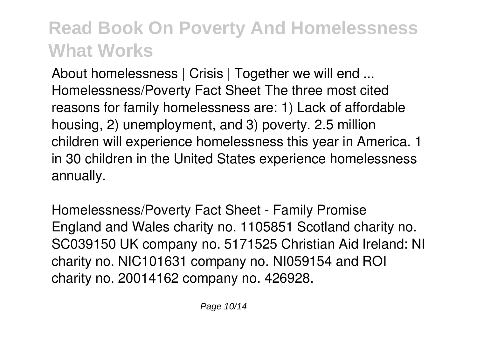*About homelessness | Crisis | Together we will end ...* Homelessness/Poverty Fact Sheet The three most cited reasons for family homelessness are: 1) Lack of affordable housing, 2) unemployment, and 3) poverty. 2.5 million children will experience homelessness this year in America. 1 in 30 children in the United States experience homelessness annually.

*Homelessness/Poverty Fact Sheet - Family Promise* England and Wales charity no. 1105851 Scotland charity no. SC039150 UK company no. 5171525 Christian Aid Ireland: NI charity no. NIC101631 company no. NI059154 and ROI charity no. 20014162 company no. 426928.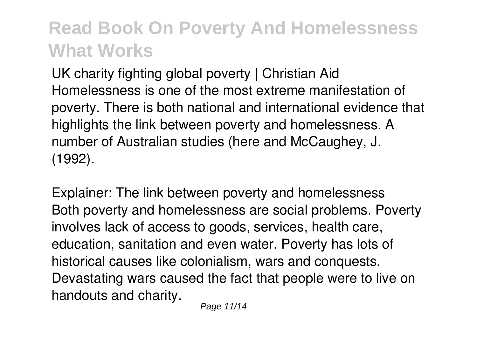*UK charity fighting global poverty | Christian Aid* Homelessness is one of the most extreme manifestation of poverty. There is both national and international evidence that highlights the link between poverty and homelessness. A number of Australian studies (here and McCaughey, J. (1992).

*Explainer: The link between poverty and homelessness* Both poverty and homelessness are social problems. Poverty involves lack of access to goods, services, health care, education, sanitation and even water. Poverty has lots of historical causes like colonialism, wars and conquests. Devastating wars caused the fact that people were to live on handouts and charity.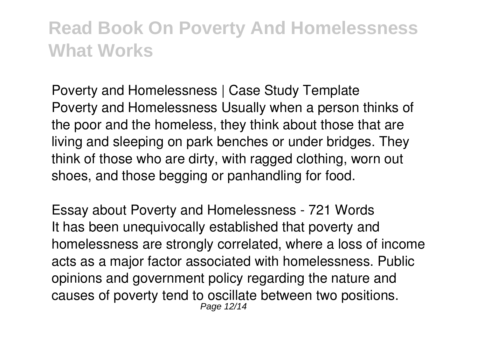*Poverty and Homelessness | Case Study Template* Poverty and Homelessness Usually when a person thinks of the poor and the homeless, they think about those that are living and sleeping on park benches or under bridges. They think of those who are dirty, with ragged clothing, worn out shoes, and those begging or panhandling for food.

*Essay about Poverty and Homelessness - 721 Words* It has been unequivocally established that poverty and homelessness are strongly correlated, where a loss of income acts as a major factor associated with homelessness. Public opinions and government policy regarding the nature and causes of poverty tend to oscillate between two positions. Page 12/14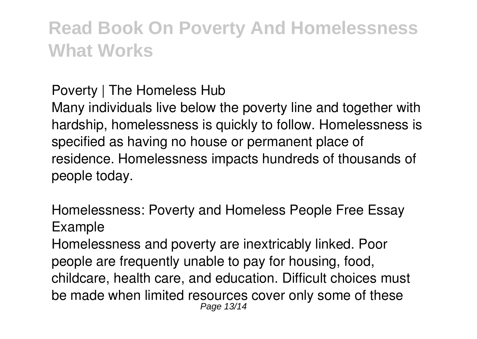#### *Poverty | The Homeless Hub*

Many individuals live below the poverty line and together with hardship, homelessness is quickly to follow. Homelessness is specified as having no house or permanent place of residence. Homelessness impacts hundreds of thousands of people today.

*Homelessness: Poverty and Homeless People Free Essay Example*

Homelessness and poverty are inextricably linked. Poor people are frequently unable to pay for housing, food, childcare, health care, and education. Difficult choices must be made when limited resources cover only some of these Page 13/14